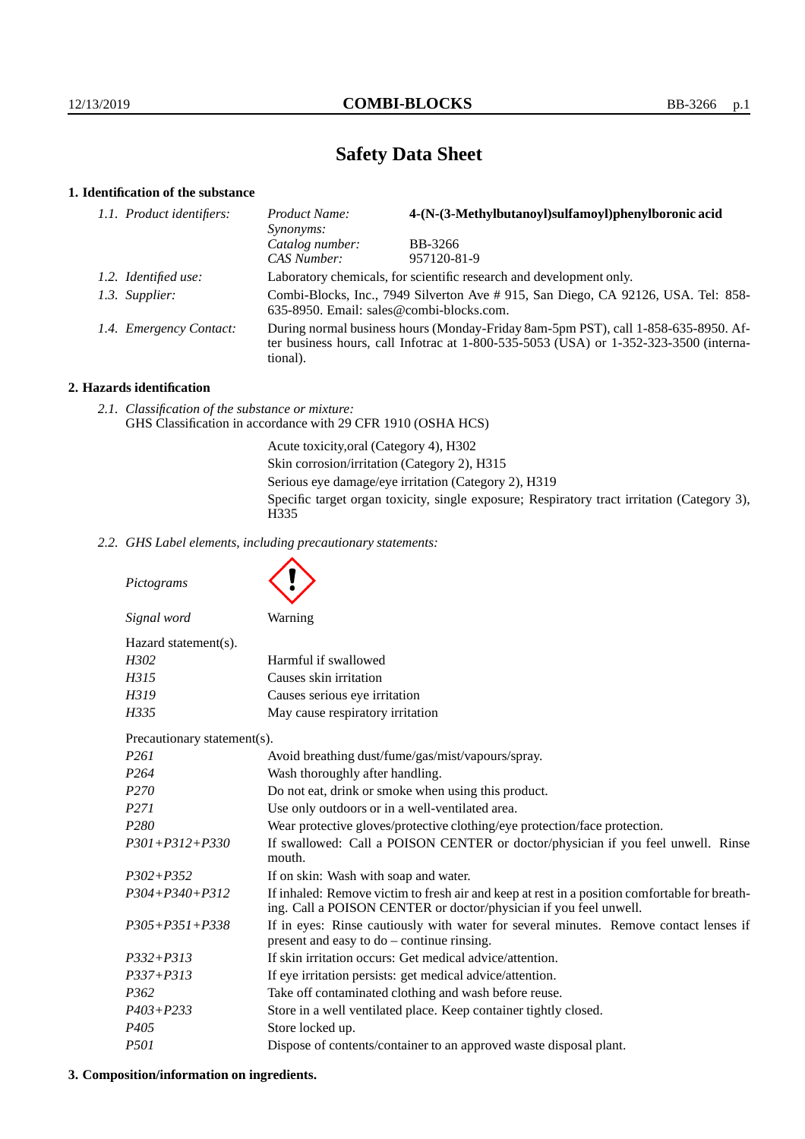# **Safety Data Sheet**

# **1. Identification of the substance**

| 1.1. Product identifiers: | Product Name:<br>Synonyms:                                                                                                                                                              | 4-(N-(3-Methylbutanoyl)sulfamoyl)phenylboronic acid |
|---------------------------|-----------------------------------------------------------------------------------------------------------------------------------------------------------------------------------------|-----------------------------------------------------|
|                           | Catalog number:                                                                                                                                                                         | BB-3266                                             |
|                           | CAS Number:                                                                                                                                                                             | 957120-81-9                                         |
| 1.2. Identified use:      | Laboratory chemicals, for scientific research and development only.                                                                                                                     |                                                     |
| 1.3. Supplier:            | Combi-Blocks, Inc., 7949 Silverton Ave # 915, San Diego, CA 92126, USA. Tel: 858-<br>635-8950. Email: sales@combi-blocks.com.                                                           |                                                     |
| 1.4. Emergency Contact:   | During normal business hours (Monday-Friday 8am-5pm PST), call 1-858-635-8950. Af-<br>ter business hours, call Infotrac at 1-800-535-5053 (USA) or 1-352-323-3500 (interna-<br>tional). |                                                     |

# **2. Hazards identification**

*2.1. Classification of the substance or mixture:* GHS Classification in accordance with 29 CFR 1910 (OSHA HCS)

> Acute toxicity,oral (Category 4), H302 Skin corrosion/irritation (Category 2), H315 Serious eye damage/eye irritation (Category 2), H319 Specific target organ toxicity, single exposure; Respiratory tract irritation (Category 3), H<sub>335</sub>

*2.2. GHS Label elements, including precautionary statements:*

*Pictograms Signal word* Warning Hazard statement(s). *H302* Harmful if swallowed *H315* Causes skin irritation *H319* Causes serious eye irritation *H335* May cause respiratory irritation Precautionary statement(s). *P261* Avoid breathing dust/fume/gas/mist/vapours/spray. *P264* Wash thoroughly after handling. *P270* Do not eat, drink or smoke when using this product. *P271* Use only outdoors or in a well-ventilated area. *P280* Wear protective gloves/protective clothing/eye protection/face protection. *P301+P312+P330* If swallowed: Call a POISON CENTER or doctor/physician if you feel unwell. Rinse mouth. *P302+P352* If on skin: Wash with soap and water. *P304+P340+P312* If inhaled: Remove victim to fresh air and keep at rest in a position comfortable for breathing. Call a POISON CENTER or doctor/physician if you feel unwell. *P305+P351+P338* If in eyes: Rinse cautiously with water for several minutes. Remove contact lenses if present and easy to do – continue rinsing. *P332+P313* If skin irritation occurs: Get medical advice/attention. *P337+P313* If eye irritation persists: get medical advice/attention. *P362* Take off contaminated clothing and wash before reuse. *P403+P233* Store in a well ventilated place. Keep container tightly closed. *P405* Store locked up. *P501* Dispose of contents/container to an approved waste disposal plant.

## **3. Composition/information on ingredients.**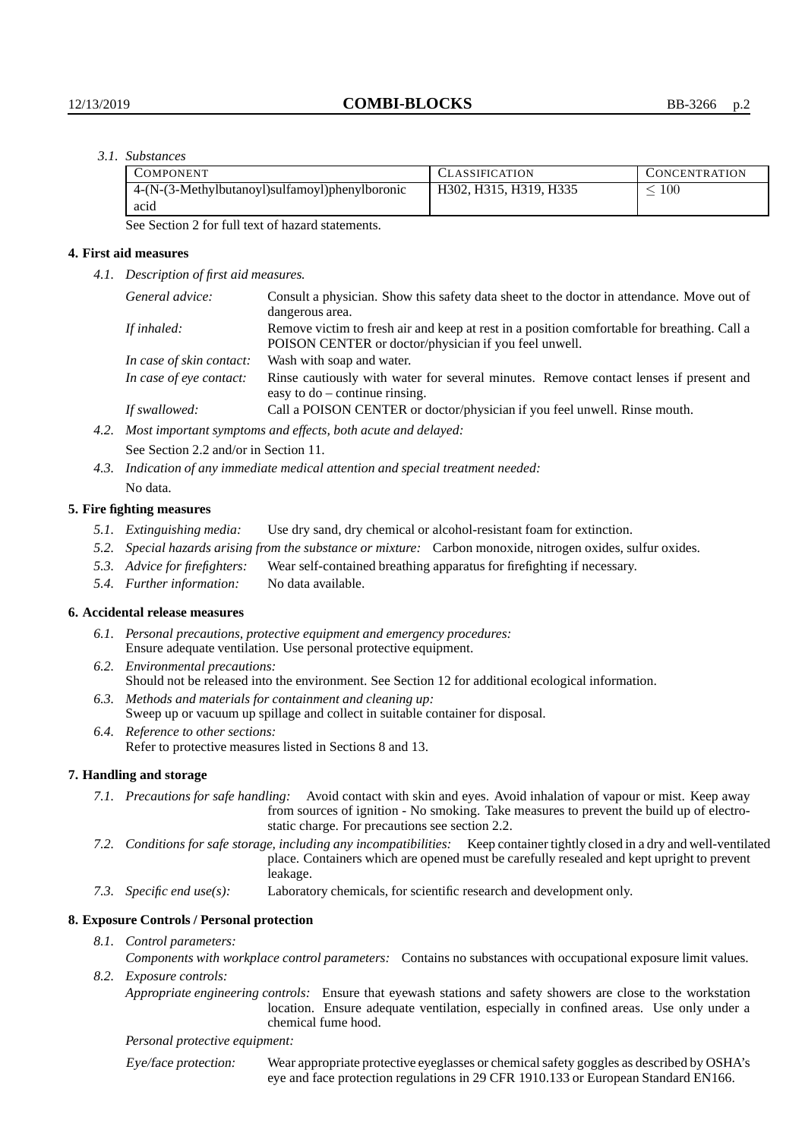# *3.1. Substances*

| <b>COMPONENT</b>                               | CLASSIFICATION         | CONCENTRATION. |
|------------------------------------------------|------------------------|----------------|
| 4-(N-(3-Methylbutanoyl)sulfamoyl)phenylboronic | H302, H315, H319, H335 | 100            |
| acid                                           |                        |                |

See Section 2 for full text of hazard statements.

#### **4. First aid measures**

*4.1. Description of first aid measures.*

|             | General advice:          | Consult a physician. Show this safety data sheet to the doctor in attendance. Move out of<br>dangerous area.                                         |  |
|-------------|--------------------------|------------------------------------------------------------------------------------------------------------------------------------------------------|--|
| If inhaled: |                          | Remove victim to fresh air and keep at rest in a position comfortable for breathing. Call a<br>POISON CENTER or doctor/physician if you feel unwell. |  |
|             | In case of skin contact: | Wash with soap and water.                                                                                                                            |  |
|             | In case of eye contact:  | Rinse cautiously with water for several minutes. Remove contact lenses if present and<br>easy to $do$ – continue rinsing.                            |  |
|             | If swallowed:            | Call a POISON CENTER or doctor/physician if you feel unwell. Rinse mouth.                                                                            |  |
| 4.2.        |                          | Most important symptoms and effects, both acute and delayed:                                                                                         |  |

See Section 2.2 and/or in Section 11.

*4.3. Indication of any immediate medical attention and special treatment needed:* No data.

## **5. Fire fighting measures**

- *5.1. Extinguishing media:* Use dry sand, dry chemical or alcohol-resistant foam for extinction.
- *5.2. Special hazards arising from the substance or mixture:* Carbon monoxide, nitrogen oxides, sulfur oxides.
- *5.3. Advice for firefighters:* Wear self-contained breathing apparatus for firefighting if necessary.
- *5.4. Further information:* No data available.

# **6. Accidental release measures**

- *6.1. Personal precautions, protective equipment and emergency procedures:* Ensure adequate ventilation. Use personal protective equipment.
- *6.2. Environmental precautions:* Should not be released into the environment. See Section 12 for additional ecological information.
- *6.3. Methods and materials for containment and cleaning up:* Sweep up or vacuum up spillage and collect in suitable container for disposal.
- *6.4. Reference to other sections:* Refer to protective measures listed in Sections 8 and 13.

# **7. Handling and storage**

- *7.1. Precautions for safe handling:* Avoid contact with skin and eyes. Avoid inhalation of vapour or mist. Keep away from sources of ignition - No smoking. Take measures to prevent the build up of electrostatic charge. For precautions see section 2.2.
- *7.2. Conditions for safe storage, including any incompatibilities:* Keep container tightly closed in a dry and well-ventilated place. Containers which are opened must be carefully resealed and kept upright to prevent leakage.
- *7.3. Specific end use(s):* Laboratory chemicals, for scientific research and development only.

#### **8. Exposure Controls / Personal protection**

- *8.1. Control parameters:*
- *Components with workplace control parameters:* Contains no substances with occupational exposure limit values. *8.2. Exposure controls:*
	- *Appropriate engineering controls:* Ensure that eyewash stations and safety showers are close to the workstation location. Ensure adequate ventilation, especially in confined areas. Use only under a chemical fume hood.

*Personal protective equipment:*

Eye/face protection: Wear appropriate protective eyeglasses or chemical safety goggles as described by OSHA's eye and face protection regulations in 29 CFR 1910.133 or European Standard EN166.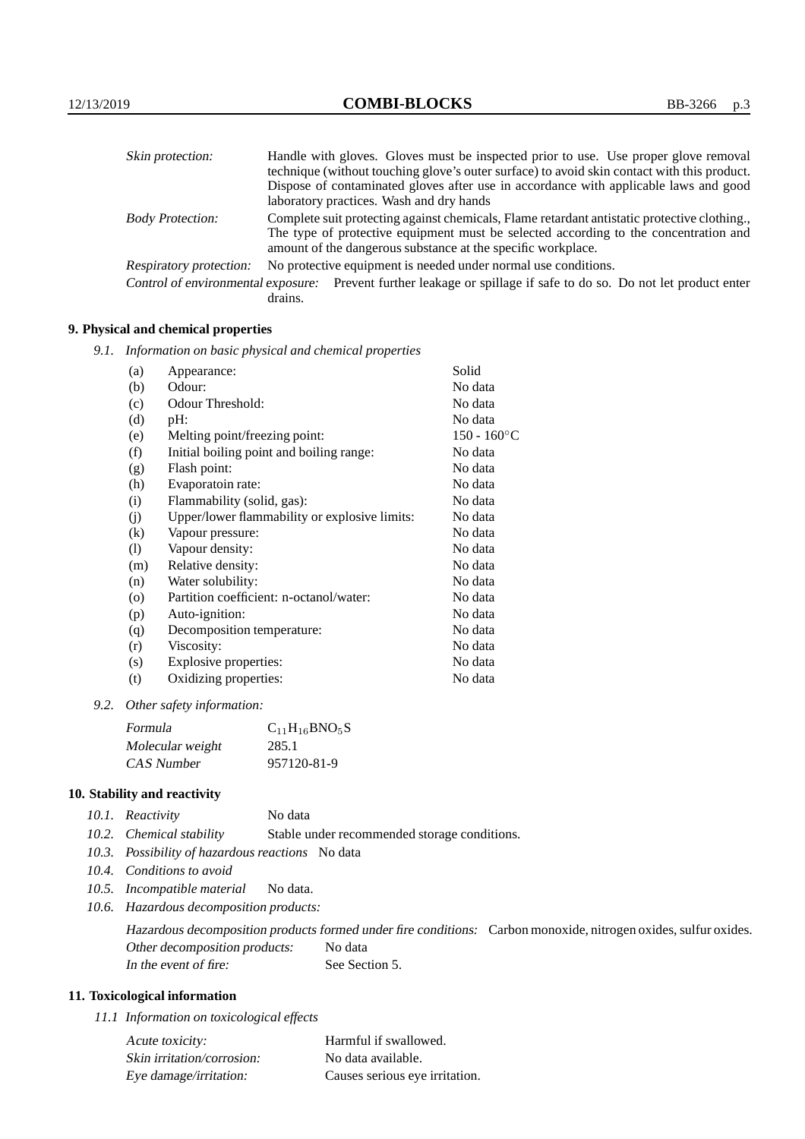| Skin protection:        | Handle with gloves. Gloves must be inspected prior to use. Use proper glove removal                                                                  |
|-------------------------|------------------------------------------------------------------------------------------------------------------------------------------------------|
|                         | technique (without touching glove's outer surface) to avoid skin contact with this product.                                                          |
|                         | Dispose of contaminated gloves after use in accordance with applicable laws and good                                                                 |
|                         | laboratory practices. Wash and dry hands                                                                                                             |
| <b>Body Protection:</b> | Complete suit protecting against chemicals, Flame retardant antistatic protective clothing.                                                          |
|                         | The type of protective equipment must be selected according to the concentration and<br>amount of the dangerous substance at the specific workplace. |
| Respiratory protection: | No protective equipment is needed under normal use conditions.                                                                                       |
|                         | Control of environmental exposure: Prevent further leakage or spillage if safe to do so. Do not let product enter<br>drains.                         |
|                         |                                                                                                                                                      |

## **9. Physical and chemical properties**

*9.1. Information on basic physical and chemical properties*

| (a)                        | Appearance:                                   | Solid          |
|----------------------------|-----------------------------------------------|----------------|
| (b)                        | Odour:                                        | No data        |
| (c)                        | Odour Threshold:                              | No data        |
| (d)                        | pH:                                           | No data        |
| (e)                        | Melting point/freezing point:                 | $150 - 160$ °C |
| (f)                        | Initial boiling point and boiling range:      | No data        |
| (g)                        | Flash point:                                  | No data        |
| (h)                        | Evaporatoin rate:                             | No data        |
| (i)                        | Flammability (solid, gas):                    | No data        |
| (j)                        | Upper/lower flammability or explosive limits: | No data        |
| $\left( k\right)$          | Vapour pressure:                              | No data        |
| $\left( \mathrm{l}\right)$ | Vapour density:                               | No data        |
| (m)                        | Relative density:                             | No data        |
| (n)                        | Water solubility:                             | No data        |
| $\circ$                    | Partition coefficient: n-octanol/water:       | No data        |
| (p)                        | Auto-ignition:                                | No data        |
| (q)                        | Decomposition temperature:                    | No data        |
| (r)                        | Viscosity:                                    | No data        |
| (s)                        | Explosive properties:                         | No data        |
| (t)                        | Oxidizing properties:                         | No data        |
|                            |                                               |                |

*9.2. Other safety information:*

| Formula          | $C_{11}H_{16}BNO_5S$ |
|------------------|----------------------|
| Molecular weight | 285.1                |
| CAS Number       | 957120-81-9          |

# **10. Stability and reactivity**

|  | 10.1. Reactivity | No data |
|--|------------------|---------|
|--|------------------|---------|

- *10.2. Chemical stability* Stable under recommended storage conditions.
- *10.3. Possibility of hazardous reactions* No data
- *10.4. Conditions to avoid*
- *10.5. Incompatible material* No data.
- *10.6. Hazardous decomposition products:*

Hazardous decomposition products formed under fire conditions: Carbon monoxide, nitrogen oxides, sulfur oxides. Other decomposition products: No data In the event of fire: See Section 5.

## **11. Toxicological information**

*11.1 Information on toxicological effects*

| Acute toxicity:            | Harmful if swallowed.          |
|----------------------------|--------------------------------|
| Skin irritation/corrosion: | No data available.             |
| Eye damage/irritation:     | Causes serious eye irritation. |